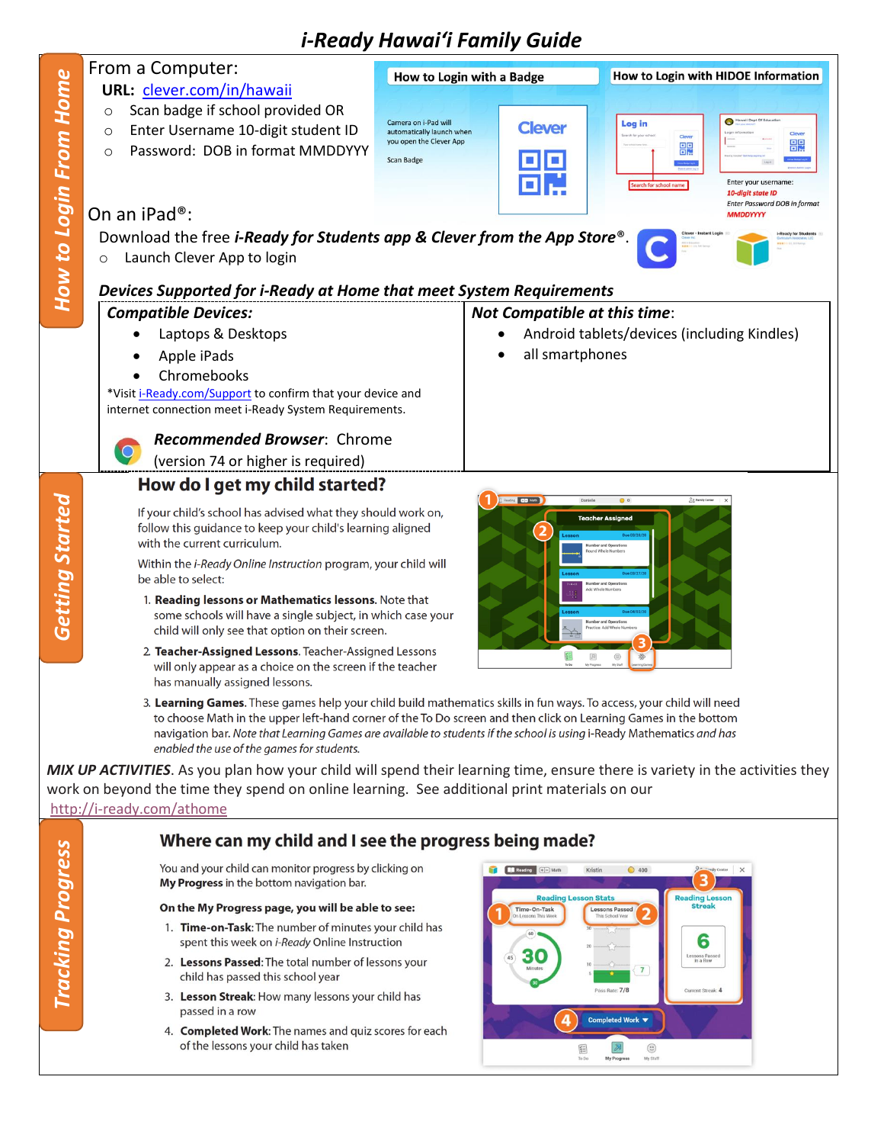## *i-Ready Hawaiʻi Family Guide*

|                                                            | From a Computer:                                                                                                                                                                                                                         | How to Login with a Badge                                                                                           |                                             | How to Login with HIDOE Information             |  |  |
|------------------------------------------------------------|------------------------------------------------------------------------------------------------------------------------------------------------------------------------------------------------------------------------------------------|---------------------------------------------------------------------------------------------------------------------|---------------------------------------------|-------------------------------------------------|--|--|
|                                                            | URL: clever.com/in/hawaii                                                                                                                                                                                                                |                                                                                                                     |                                             |                                                 |  |  |
|                                                            | Scan badge if school provided OR<br>$\circ$                                                                                                                                                                                              |                                                                                                                     |                                             |                                                 |  |  |
| How to Login From Home                                     | Enter Username 10-digit student ID                                                                                                                                                                                                       | Camera on i-Pad will<br>automatically launch when                                                                   | <b>Clever</b>                               | Hawaii Dept Of Ed<br>Log in                     |  |  |
|                                                            | $\circ$                                                                                                                                                                                                                                  | you open the Clever App                                                                                             |                                             | Cleve<br>鼺<br>嘂                                 |  |  |
|                                                            | Password: DOB in format MMDDYYY<br>$\circ$                                                                                                                                                                                               | <b>Scan Badge</b>                                                                                                   |                                             |                                                 |  |  |
|                                                            |                                                                                                                                                                                                                                          |                                                                                                                     |                                             | Enter your username:                            |  |  |
|                                                            |                                                                                                                                                                                                                                          |                                                                                                                     |                                             | earch for school n<br>10-digit state ID         |  |  |
|                                                            | On an iPad <sup>®</sup> :                                                                                                                                                                                                                |                                                                                                                     |                                             | Enter Password DOB in format<br><b>MMDDYYYY</b> |  |  |
|                                                            | Download the free <i>i-Ready for Students app &amp; Clever from the App Store</i> <sup>®</sup>                                                                                                                                           |                                                                                                                     |                                             |                                                 |  |  |
|                                                            |                                                                                                                                                                                                                                          |                                                                                                                     |                                             |                                                 |  |  |
|                                                            | Launch Clever App to login<br>O                                                                                                                                                                                                          |                                                                                                                     |                                             |                                                 |  |  |
|                                                            |                                                                                                                                                                                                                                          |                                                                                                                     |                                             |                                                 |  |  |
|                                                            | Devices Supported for i-Ready at Home that meet System Requirements                                                                                                                                                                      |                                                                                                                     |                                             |                                                 |  |  |
|                                                            | <b>Compatible Devices:</b>                                                                                                                                                                                                               |                                                                                                                     | <b>Not Compatible at this time:</b>         |                                                 |  |  |
|                                                            | Laptops & Desktops                                                                                                                                                                                                                       |                                                                                                                     | Android tablets/devices (including Kindles) |                                                 |  |  |
|                                                            | Apple iPads                                                                                                                                                                                                                              |                                                                                                                     | all smartphones                             |                                                 |  |  |
|                                                            | Chromebooks                                                                                                                                                                                                                              |                                                                                                                     |                                             |                                                 |  |  |
| *Visit i-Ready.com/Support to confirm that your device and |                                                                                                                                                                                                                                          |                                                                                                                     |                                             |                                                 |  |  |
|                                                            | internet connection meet i-Ready System Requirements.                                                                                                                                                                                    |                                                                                                                     |                                             |                                                 |  |  |
|                                                            | <b>Recommended Browser: Chrome</b>                                                                                                                                                                                                       |                                                                                                                     |                                             |                                                 |  |  |
|                                                            | $\overline{Q}$                                                                                                                                                                                                                           |                                                                                                                     |                                             |                                                 |  |  |
|                                                            | (version 74 or higher is required)                                                                                                                                                                                                       |                                                                                                                     |                                             |                                                 |  |  |
|                                                            | How do I get my child started?                                                                                                                                                                                                           |                                                                                                                     |                                             |                                                 |  |  |
|                                                            |                                                                                                                                                                                                                                          |                                                                                                                     | Reading 0-1 Mas.<br>Danielle                | $\bullet$<br>8g Family Center                   |  |  |
| <b>Getting Started</b>                                     | If your child's school has advised what they should work on,<br>follow this guidance to keep your child's learning aligned                                                                                                               |                                                                                                                     |                                             | <b>Teacher Assigned</b>                         |  |  |
|                                                            | with the current curriculum.                                                                                                                                                                                                             |                                                                                                                     |                                             | Number and Operations                           |  |  |
|                                                            | Within the i-Ready Online Instruction program, your child will                                                                                                                                                                           |                                                                                                                     |                                             |                                                 |  |  |
|                                                            | be able to select:                                                                                                                                                                                                                       |                                                                                                                     |                                             | lumber and Operat                               |  |  |
|                                                            |                                                                                                                                                                                                                                          | Add Whole Number<br>1. Reading lessons or Mathematics lessons. Note that                                            |                                             |                                                 |  |  |
|                                                            | some schools will have a single subject, in which case your                                                                                                                                                                              |                                                                                                                     |                                             | <b>Number and Operations</b>                    |  |  |
|                                                            | child will only see that option on their screen.                                                                                                                                                                                         |                                                                                                                     |                                             | actice: Add Whole Nu                            |  |  |
|                                                            | 2. Teacher-Assigned Lessons. Teacher-Assigned Lessons                                                                                                                                                                                    |                                                                                                                     |                                             |                                                 |  |  |
|                                                            | will only appear as a choice on the screen if the teacher                                                                                                                                                                                |                                                                                                                     |                                             |                                                 |  |  |
|                                                            | has manually assigned lessons.                                                                                                                                                                                                           |                                                                                                                     |                                             |                                                 |  |  |
|                                                            | 3. Learning Games. These games help your child build mathematics skills in fun ways. To access, your child will need                                                                                                                     |                                                                                                                     |                                             |                                                 |  |  |
|                                                            | to choose Math in the upper left-hand corner of the To Do screen and then click on Learning Games in the bottom<br>navigation bar. Note that Learning Games are available to students if the school is using i-Ready Mathematics and has |                                                                                                                     |                                             |                                                 |  |  |
|                                                            | enabled the use of the games for students.                                                                                                                                                                                               |                                                                                                                     |                                             |                                                 |  |  |
|                                                            | MIX UP ACTIVITIES. As you plan how your child will spend their learning time, ensure there is variety in the activities they                                                                                                             |                                                                                                                     |                                             |                                                 |  |  |
|                                                            | work on beyond the time they spend on online learning. See additional print materials on our                                                                                                                                             |                                                                                                                     |                                             |                                                 |  |  |
|                                                            | http://i-ready.com/athome                                                                                                                                                                                                                |                                                                                                                     |                                             |                                                 |  |  |
|                                                            |                                                                                                                                                                                                                                          |                                                                                                                     |                                             |                                                 |  |  |
|                                                            | Where can my child and I see the progress being made?                                                                                                                                                                                    |                                                                                                                     |                                             |                                                 |  |  |
|                                                            | You and your child can monitor progress by clicking on                                                                                                                                                                                   |                                                                                                                     | Reading (+) Math                            | Kristin<br>Q- -- milly Center X                 |  |  |
|                                                            | My Progress in the bottom navigation bar.                                                                                                                                                                                                |                                                                                                                     |                                             | $\bigcirc$ 400                                  |  |  |
| <b>Tracking Progress</b>                                   |                                                                                                                                                                                                                                          |                                                                                                                     | <b>Reading Lesson Stats</b>                 | <b>Reading Lesson</b><br><b>Streak</b>          |  |  |
|                                                            | On the My Progress page, you will be able to see:                                                                                                                                                                                        |                                                                                                                     | Time-On-Task<br>In Lessons This Weel        | <b>Lessons Passed</b>                           |  |  |
|                                                            | 1. Time-on-Task: The number of minutes your child has<br>spent this week on i-Ready Online Instruction                                                                                                                                   | 6                                                                                                                   |                                             |                                                 |  |  |
|                                                            |                                                                                                                                                                                                                                          | 30<br>Lessons Passed<br>in a Row<br>$45\,$<br>2. Lessons Passed: The total number of lessons your<br>$\overline{7}$ |                                             |                                                 |  |  |
|                                                            | child has passed this school year                                                                                                                                                                                                        |                                                                                                                     |                                             |                                                 |  |  |
|                                                            | 3. Lesson Streak: How many lessons your child has                                                                                                                                                                                        |                                                                                                                     |                                             | Pass Rate: 7/8<br>Current Streak: 4             |  |  |
|                                                            | passed in a row                                                                                                                                                                                                                          |                                                                                                                     |                                             |                                                 |  |  |
|                                                            | 4. Completed Work: The names and quiz scores for each                                                                                                                                                                                    |                                                                                                                     |                                             | Completed Work ▼                                |  |  |

My Progress My Stuff

 $\begin{array}{c}\n\hline\n\text{111} \\
\hline\n\text{20}\n\end{array}$ 

of the lessons your child has taken